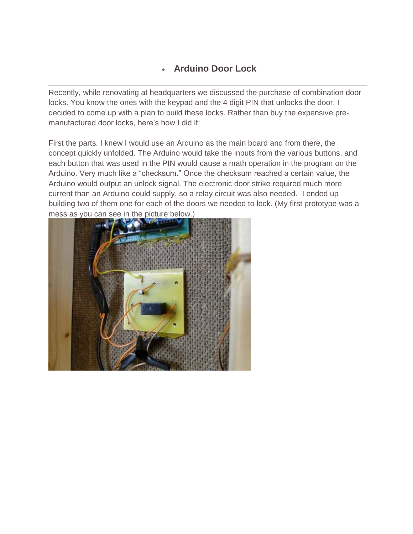### **[Arduino](http://www.electronics123.net/amazon/projects/Electronics123_Door_Lock_Project/Arduino_Door_Lock.html) Door Lock**

Recently, while renovating at headquarters we discussed the purchase of combination door locks. You know-the ones with the keypad and the 4 digit PIN that unlocks the door. I decided to come up with a plan to build these locks. Rather than buy the expensive premanufactured door locks, here's how I did it:

First the parts. I knew I would use an Arduino as the main board and from there, the concept quickly unfolded. The Arduino would take the inputs from the various buttons, and each button that was used in the PIN would cause a math operation in the program on the Arduino. Very much like a "checksum." Once the checksum reached a certain value, the Arduino would output an unlock signal. The electronic door strike required much more current than an Arduino could supply, so a relay circuit was also needed. I ended up building two of them one for each of the doors we needed to lock. (My first prototype was a mess as you can see in the picture below.)

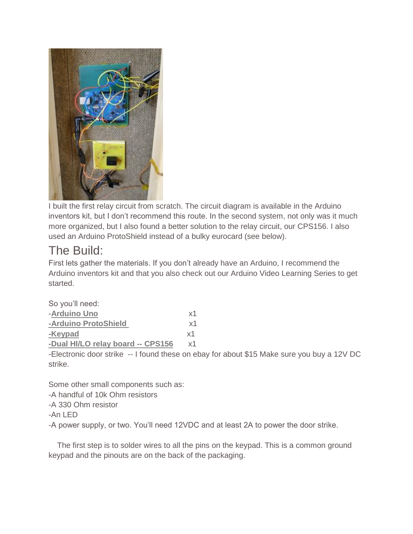

I built the first relay circuit from scratch. The circuit diagram is available in the Arduino inventors kit, but I don't recommend this route. In the second system, not only was it much more organized, but I also found a better solution to the relay circuit, our CPS156. I also used an Arduino ProtoShield instead of a bulky eurocard (see below).

## The Build:

First lets gather the materials. If you don't already have an Arduino, I recommend the Arduino inventors kit and that you also check out our Arduino Video Learning Series to get started.

| So you'll need:                   |            |  |
|-----------------------------------|------------|--|
| -Arduino Uno                      | x1         |  |
| -Arduino ProtoShield              | $\times$ 1 |  |
| -Keypad                           | x1         |  |
| -Dual HI/LO relay board -- CPS156 | x1         |  |

-Electronic door strike -- I found these on ebay for about \$15 Make sure you buy a 12V DC strike.

Some other small components such as: -A handful of 10k Ohm resistors -A 330 Ohm resistor -An LED -A power supply, or two. You'll need 12VDC and at least 2A to power the door strike.

 The first step is to solder wires to all the pins on the keypad. This is a common ground keypad and the pinouts are on the back of the packaging.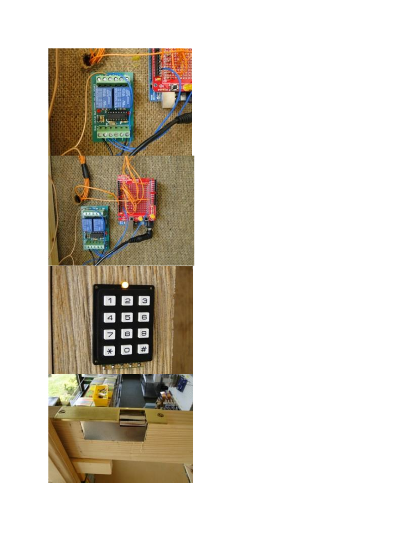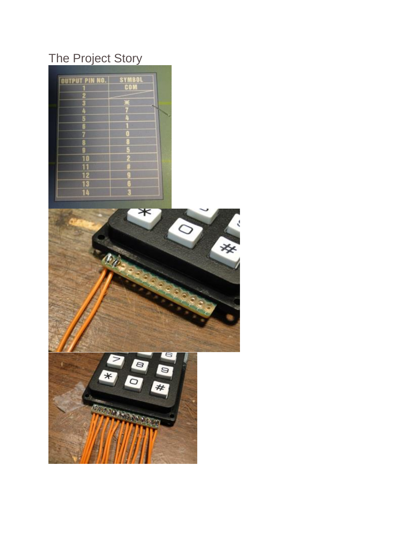# The Project Story

| <b>OUTPUT PIN NO.</b> | <b>SYMBOL</b> |
|-----------------------|---------------|
|                       | COM           |
|                       |               |
|                       | ۰             |
|                       |               |
| P                     |               |
|                       |               |
|                       | ī             |
|                       |               |
|                       |               |
| I                     |               |
|                       |               |
| g                     | B             |
|                       | ÷             |
| 17                    | ç             |



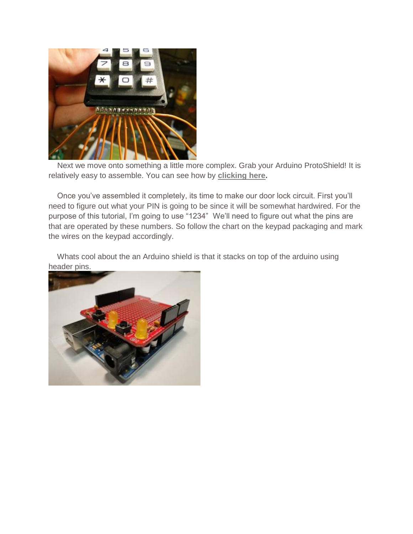

 Next we move onto something a little more complex. Grab your Arduino ProtoShield! It is relatively easy to assemble. You can see how by **[clicking here.](http://www.electronics123.net/amazon/datasheet/ProtoshieldAssembly.pdf)**

 Once you've assembled it completely, its time to make our door lock circuit. First you'll need to figure out what your PIN is going to be since it will be somewhat hardwired. For the purpose of this tutorial, I'm going to use "1234" We'll need to figure out what the pins are that are operated by these numbers. So follow the chart on the keypad packaging and mark the wires on the keypad accordingly.

 Whats cool about the an Arduino shield is that it stacks on top of the arduino using header pins.

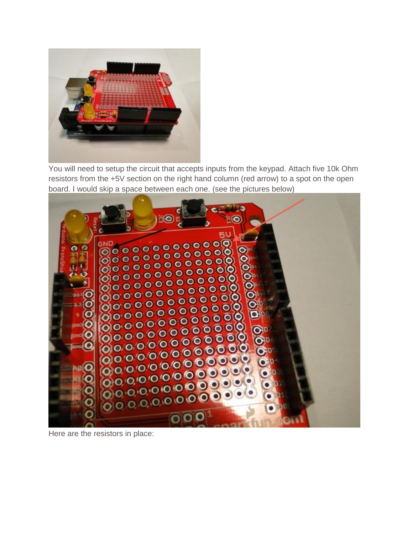

You will need to setup the circuit that accepts inputs from the keypad. Attach five 10k Ohm resistors from the +5V section on the right hand column (red arrow) to a spot on the open board. I would skip a space between each one. (see the pictures below)



Here are the resistors in place: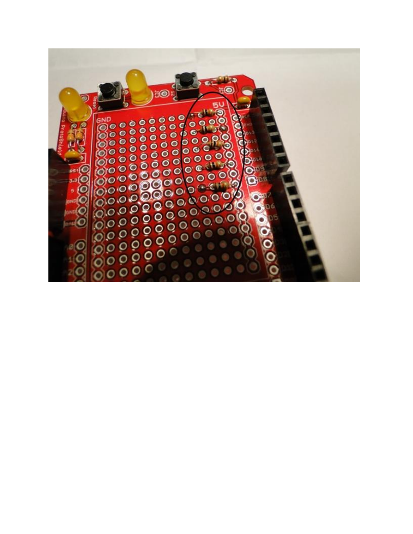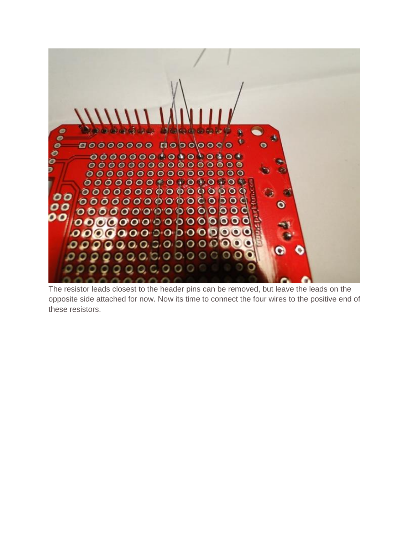

The resistor leads closest to the header pins can be removed, but leave the leads on the opposite side attached for now. Now its time to connect the four wires to the positive end of these resistors.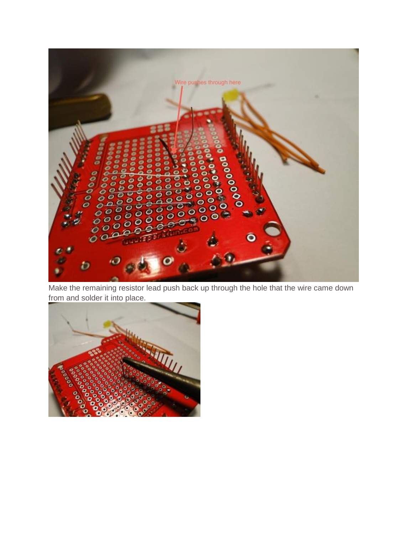

Make the remaining resistor lead push back up through the hole that the wire came down from and solder it into place.

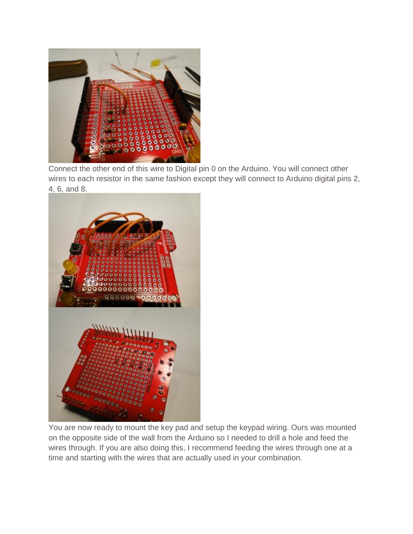

Connect the other end of this wire to Digital pin 0 on the Arduino. You will connect other wires to each resistor in the same fashion except they will connect to Arduino digital pins 2, 4, 6, and 8.



You are now ready to mount the key pad and setup the keypad wiring. Ours was mounted on the opposite side of the wall from the Arduino so I needed to drill a hole and feed the wires through. If you are also doing this, I recommend feeding the wires through one at a time and starting with the wires that are actually used in your combination.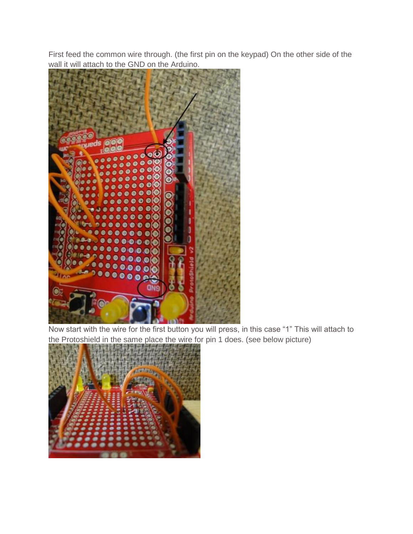First feed the common wire through. (the first pin on the keypad) On the other side of the wall it will attach to the GND on the Arduino.



Now start with the wire for the first button you will press, in this case "1" This will attach to the Protoshield in the same place the wire for pin 1 does. (see below picture)

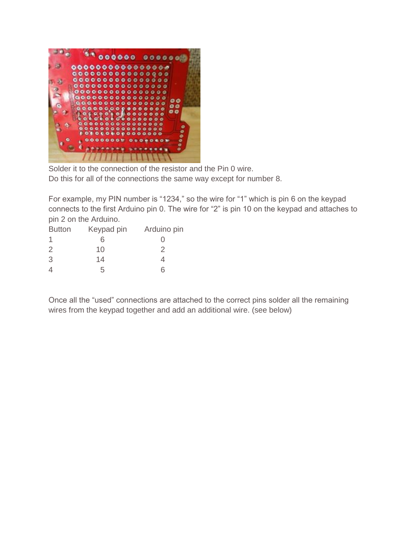

Solder it to the connection of the resistor and the Pin 0 wire. Do this for all of the connections the same way except for number 8.

For example, my PIN number is "1234," so the wire for "1" which is pin 6 on the keypad connects to the first Arduino pin 0. The wire for "2" is pin 10 on the keypad and attaches to pin 2 on the Arduino.

| <b>Button</b> | Keypad pin | Arduino pin |
|---------------|------------|-------------|
|               | հ          |             |
| 2             | 10         | 2           |
| 3             | 14         |             |
|               | 5          | ห           |

Once all the "used" connections are attached to the correct pins solder all the remaining wires from the keypad together and add an additional wire. (see below)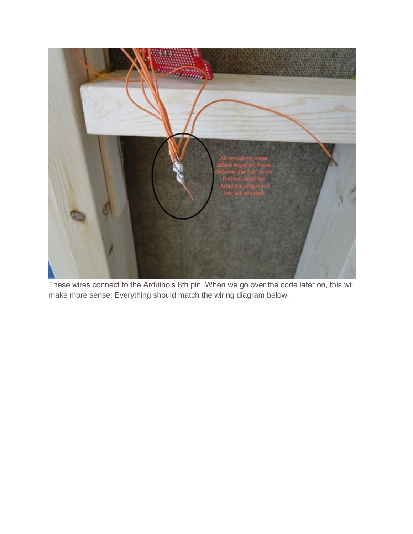

These wires connect to the Arduino's 8th pin. When we go over the code later on, this will make more sense. Everything should match the wiring diagram below: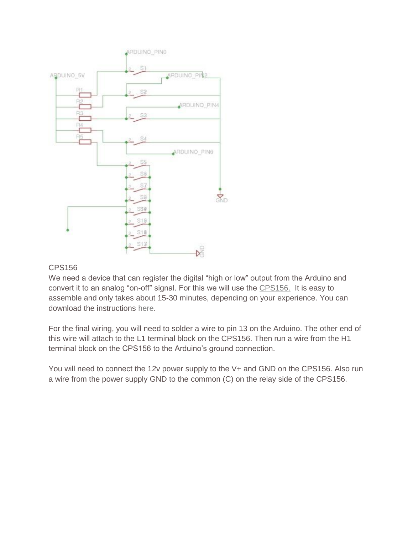

#### CPS156

We need a device that can register the digital "high or low" output from the Arduino and convert it to an analog "on-off" signal. For this we will use the [CPS156.](http://www.electronics123.com/s.nl/it.A/id.388/.f) It is easy to assemble and only takes about 15-30 minutes, depending on your experience. You can download the instructions [here.](http://electronics123.net/amazon/datasheet/k156.pdf)

For the final wiring, you will need to solder a wire to pin 13 on the Arduino. The other end of this wire will attach to the L1 terminal block on the CPS156. Then run a wire from the H1 terminal block on the CPS156 to the Arduino's ground connection.

You will need to connect the 12v power supply to the V+ and GND on the CPS156. Also run a wire from the power supply GND to the common (C) on the relay side of the CPS156.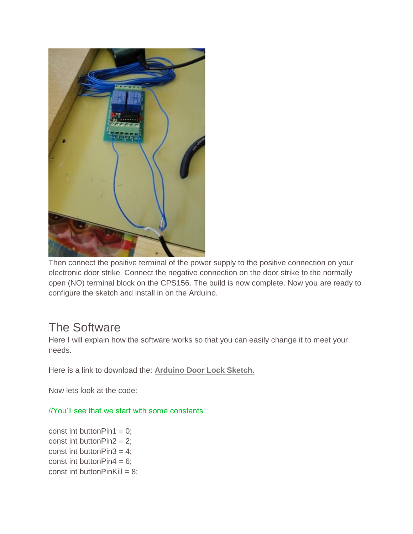

Then connect the positive terminal of the power supply to the positive connection on your electronic door strike. Connect the negative connection on the door strike to the normally open (NO) terminal block on the CPS156. The build is now complete. Now you are ready to configure the sketch and install in on the Arduino.

## The Software

Here I will explain how the software works so that you can easily change it to meet your needs.

Here is a link to download the: **[Arduino Door Lock Sketch.](http://electronics123.net/amazon/software/doorlockSketchArduino.pde)**

Now lets look at the code:

//You'll see that we start with some constants.

const int buttonPin1 =  $0$ ; const int buttonPin2 =  $2$ ; const int buttonPin3 =  $4$ ; const int buttonPin4 =  $6$ ; const int buttonPinKill =  $8$ ;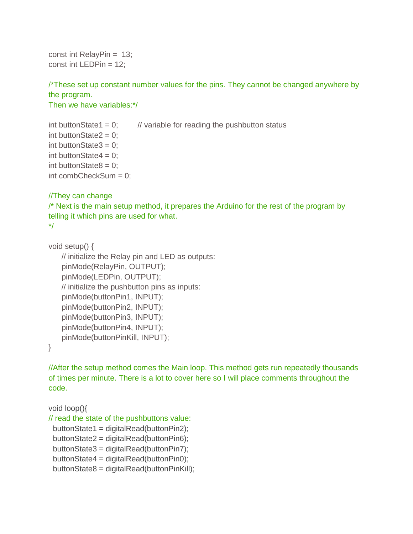const int RelayPin = 13; const int LEDPin = 12;

/\*These set up constant number values for the pins. They cannot be changed anywhere by the program.

Then we have variables:\*/

```
int buttonState1 = 0; \frac{1}{2} // variable for reading the pushbutton status
int buttonState2 = 0;
int buttonState3 = 0;
int buttonState4 = 0;
int buttonState8 = 0;
int combCheckSum = 0;
```
#### //They can change

/\* Next is the main setup method, it prepares the Arduino for the rest of the program by telling it which pins are used for what.

\*/

```
void setup() {
    // initialize the Relay pin and LED as outputs:
    pinMode(RelayPin, OUTPUT); 
    pinMode(LEDPin, OUTPUT);
    // initialize the pushbutton pins as inputs:
    pinMode(buttonPin1, INPUT); 
    pinMode(buttonPin2, INPUT);
    pinMode(buttonPin3, INPUT);
    pinMode(buttonPin4, INPUT);
    pinMode(buttonPinKill, INPUT);
```
}

//After the setup method comes the Main loop. This method gets run repeatedly thousands of times per minute. There is a lot to cover here so I will place comments throughout the code.

void loop(){ // read the state of the pushbuttons value: buttonState1 = digitalRead(buttonPin2); buttonState2 = digitalRead(buttonPin6); buttonState3 = digitalRead(buttonPin7); buttonState4 = digitalRead(buttonPin0); buttonState8 = digitalRead(buttonPinKill);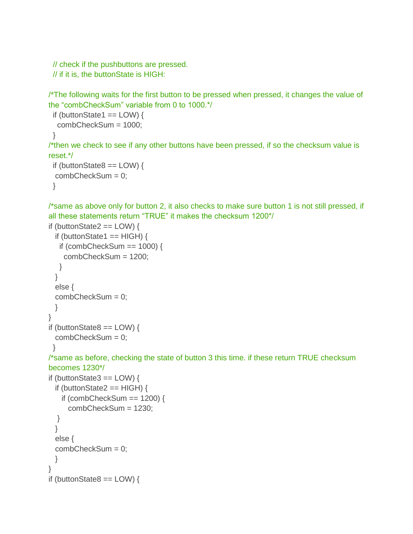// check if the pushbuttons are pressed. // if it is, the buttonState is HIGH:

/\*The following waits for the first button to be pressed when pressed, it changes the value of the "combCheckSum" variable from 0 to 1000.\*/

```
if (buttonState1 == LOW) {
   combCheckSum = 1000;
 }
/*then we check to see if any other buttons have been pressed, if so the checksum value is
```

```
reset.*/
 if (buttonState8 == LOW) {
  combCheckSum = 0;
 }
```
/\*same as above only for button 2, it also checks to make sure button 1 is not still pressed, if all these statements return "TRUE" it makes the checksum 1200\*/

```
if (buttonState2 == LOW) {
 if (buttonState1 == HIGH) {
   if (combCheckSum == 1000) {
     combCheckSum = 1200;
   }
  }
  else {
  combCheckSum = 0;
  }
}
if (buttonState8 == LOW) {
  combCheckSum = 0;
 }
/*same as before, checking the state of button 3 this time. if these return TRUE checksum 
becomes 1230*/
if (buttonState3 == LOW) {
 if (buttonState2 == HIGH) {
   if (combCheckSum == 1200) {
      combCheckSum = 1230;
   }
  }
  else {
  combCheckSum = 0;
  }
}
if (buttonState8 == LOW) {
```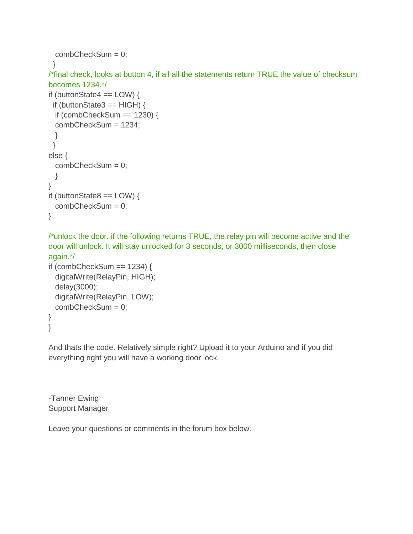```
 combCheckSum = 0;
 }
/*final check, looks at button 4, if all all the statements return TRUE the value of checksum 
becomes 1234.*/
if (buttonState4 == LOW) {
 if (buttonState3 == HIGH) {
 if (combCheckSum == 1230) {
  combCheckSum = 1234;
  }
 }
else {
  combCheckSum = 0;
  }
}
if (buttonState8 == LOW) {
  combCheckSum = 0;
}
```
/\*unlock the door. if the following returns TRUE, the relay pin will become active and the door will unlock. It will stay unlocked for 3 seconds, or 3000 milliseconds, then close again.\*/

```
if (combCheckSum == 1234) {
   digitalWrite(RelayPin, HIGH);
   delay(3000);
  digitalWrite(RelayPin, LOW);
  combCheckSum = 0;
}
}
```
And thats the code. Relatively simple right? Upload it to your Arduino and if you did everything right you will have a working door lock.

-Tanner Ewing Support Manager

Leave your questions or comments in the forum box below.